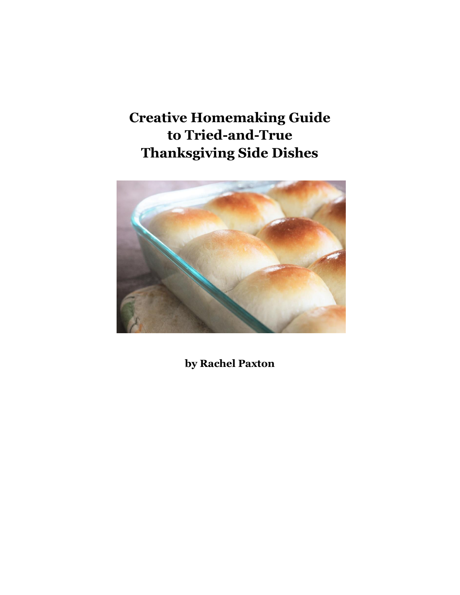# **Creative Homemaking Guide to Tried-and-True Thanksgiving Side Dishes**



**by Rachel Paxton**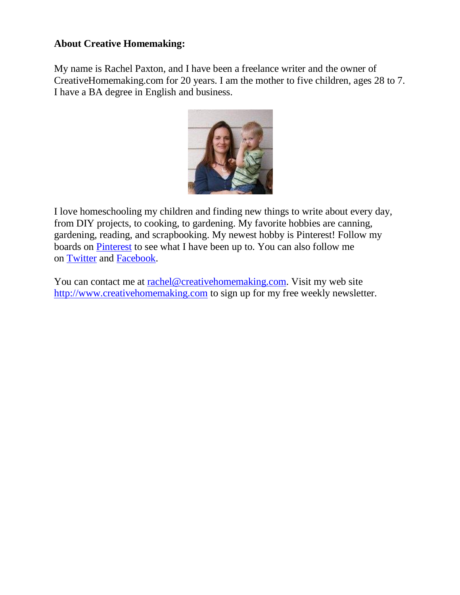#### **About Creative Homemaking:**

My name is Rachel Paxton, and I have been a freelance writer and the owner of CreativeHomemaking.com for 20 years. I am the mother to five children, ages 28 to 7. I have a BA degree in English and business.



I love homeschooling my children and finding new things to write about every day, from DIY projects, to cooking, to gardening. My favorite hobbies are canning, gardening, reading, and scrapbooking. My newest hobby is Pinterest! Follow my boards on [Pinterest](http://pinterest.com/homemakingmom/) to see what I have been up to. You can also follow me on [Twitter](http://www.twitter.com/homemaking) and [Facebook.](http://www.facebook.com/pages/Creative-Homemaking/127198797321048)

You can contact me at [rachel@creativehomemaking.com.](mailto:rachel@creativehomemaking.com) Visit my web site [http://www.creativehomemaking.com](http://www.creativehomemaking.com/) to sign up for my free weekly newsletter.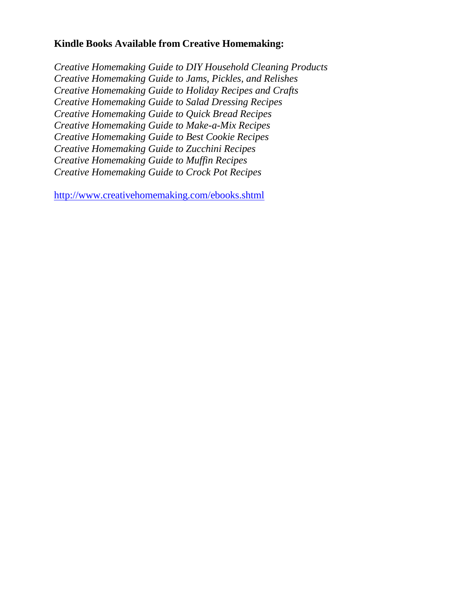#### **Kindle Books Available from Creative Homemaking:**

*Creative Homemaking Guide to DIY Household Cleaning Products Creative Homemaking Guide to Jams, Pickles, and Relishes Creative Homemaking Guide to Holiday Recipes and Crafts Creative Homemaking Guide to Salad Dressing Recipes Creative Homemaking Guide to Quick Bread Recipes Creative Homemaking Guide to Make-a-Mix Recipes Creative Homemaking Guide to Best Cookie Recipes Creative Homemaking Guide to Zucchini Recipes Creative Homemaking Guide to Muffin Recipes Creative Homemaking Guide to Crock Pot Recipes*

<http://www.creativehomemaking.com/ebooks.shtml>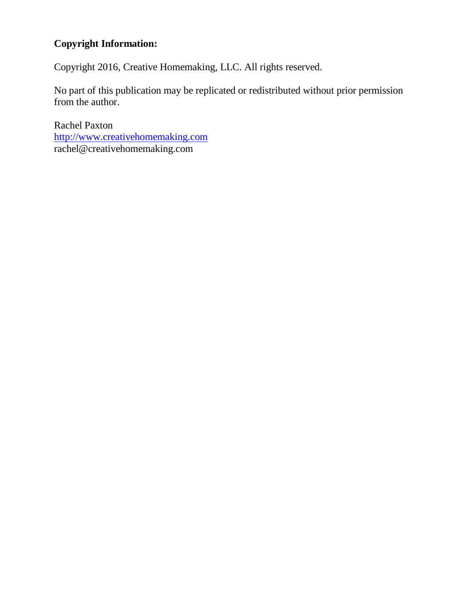# **Copyright Information:**

Copyright 2016, Creative Homemaking, LLC. All rights reserved.

No part of this publication may be replicated or redistributed without prior permission from the author.

Rachel Paxton [http://www.creativehomemaking.com](http://www.creativehomemaking.com/) rachel@creativehomemaking.com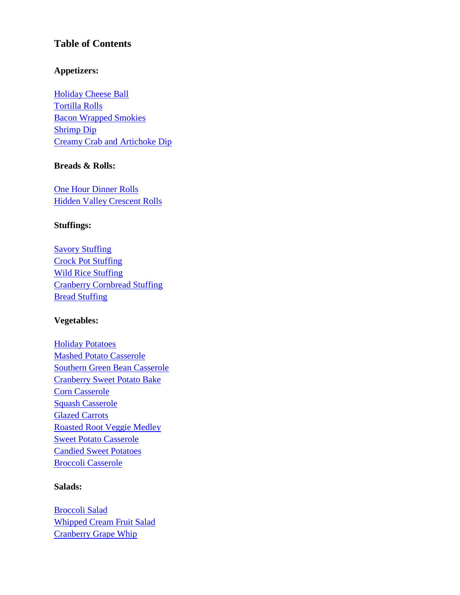#### **Table of Contents**

#### **Appetizers:**

[Holiday Cheese Ball](#page-6-0) [Tortilla Rolls](#page-6-1) [Bacon Wrapped Smokies](#page-6-2) [Shrimp Dip](#page-7-0) [Creamy Crab and Artichoke Dip](#page-7-1)

#### **Breads & Rolls:**

[One Hour Dinner Rolls](#page-9-0) [Hidden Valley Crescent Rolls](#page-10-0)

#### **Stuffings:**

[Savory Stuffing](#page-10-1) [Crock Pot Stuffing](#page-10-2) **[Wild Rice Stuffing](#page-11-0)** [Cranberry Cornbread Stuffing](#page-12-0) **[Bread Stuffing](#page-13-0)** 

#### **Vegetables:**

[Holiday Potatoes](#page-14-0) [Mashed Potato Casserole](#page-14-1) [Southern Green Bean Casserole](#page-15-0) [Cranberry Sweet Potato Bake](#page-16-0) [Corn Casserole](#page-17-0) [Squash Casserole](#page-17-1) [Glazed Carrots](#page-18-0) [Roasted Root Veggie Medley](#page-18-1) [Sweet Potato Casserole](#page-19-0) [Candied Sweet Potatoes](#page-19-1) [Broccoli Casserole](#page-20-0)

#### **Salads:**

[Broccoli Salad](#page-21-0) [Whipped Cream Fruit Salad](#page-21-1) [Cranberry Grape Whip](#page-21-2)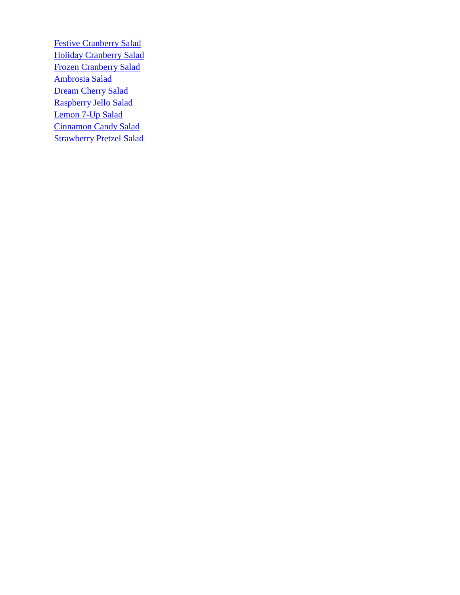**[Festive Cranberry Salad](#page-22-0)** [Holiday Cranberry Salad](#page-23-0) [Frozen Cranberry Salad](#page-23-1) [Ambrosia Salad](#page-24-0) [Dream Cherry Salad](#page-24-1) [Raspberry Jello Salad](#page-24-2) [Lemon 7-Up Salad](#page-25-0) [Cinnamon Candy Salad](#page-25-1) **[Strawberry Pretzel Salad](#page-26-0)**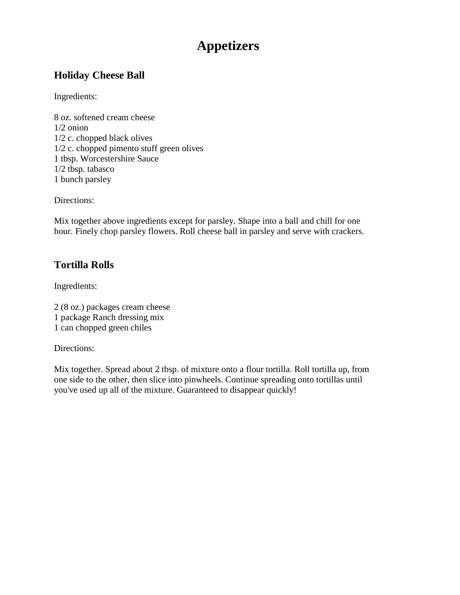# **Appetizers**

## <span id="page-6-0"></span>**Holiday Cheese Ball**

Ingredients:

8 oz. softened cream cheese 1/2 onion 1/2 c. chopped black olives 1/2 c. chopped pimento stuff green olives 1 tbsp. Worcestershire Sauce 1/2 tbsp. tabasco 1 bunch parsley

Directions:

Mix together above ingredients except for parsley. Shape into a ball and chill for one hour. Finely chop parsley flowers. Roll cheese ball in parsley and serve with crackers.

# <span id="page-6-1"></span>**Tortilla Rolls**

Ingredients:

2 (8 oz.) packages cream cheese 1 package Ranch dressing mix 1 can chopped green chiles

Directions:

<span id="page-6-2"></span>Mix together. Spread about 2 tbsp. of mixture onto a flour tortilla. Roll tortilla up, from one side to the other, then slice into pinwheels. Continue spreading onto tortillas until you've used up all of the mixture. Guaranteed to disappear quickly!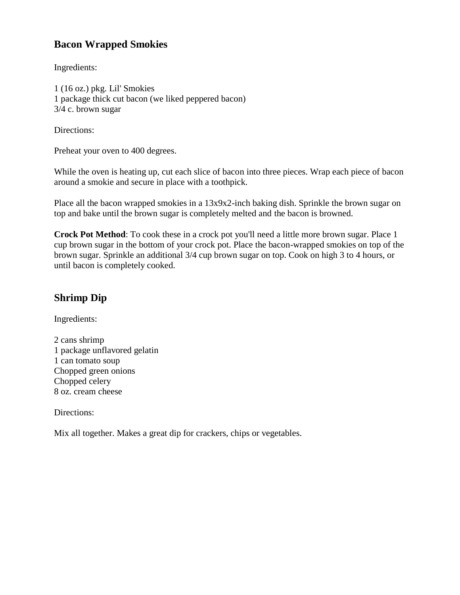# **Bacon Wrapped Smokies**

Ingredients:

1 (16 oz.) pkg. Lil' Smokies 1 package thick cut bacon (we liked peppered bacon) 3/4 c. brown sugar

Directions:

Preheat your oven to 400 degrees.

While the oven is heating up, cut each slice of bacon into three pieces. Wrap each piece of bacon around a smokie and secure in place with a toothpick.

Place all the bacon wrapped smokies in a 13x9x2-inch baking dish. Sprinkle the brown sugar on top and bake until the brown sugar is completely melted and the bacon is browned.

**Crock Pot Method**: To cook these in a crock pot you'll need a little more brown sugar. Place 1 cup brown sugar in the bottom of your crock pot. Place the bacon-wrapped smokies on top of the brown sugar. Sprinkle an additional 3/4 cup brown sugar on top. Cook on high 3 to 4 hours, or until bacon is completely cooked.

# <span id="page-7-0"></span>**Shrimp Dip**

Ingredients:

2 cans shrimp 1 package unflavored gelatin 1 can tomato soup Chopped green onions Chopped celery 8 oz. cream cheese

Directions:

<span id="page-7-1"></span>Mix all together. Makes a great dip for crackers, chips or vegetables.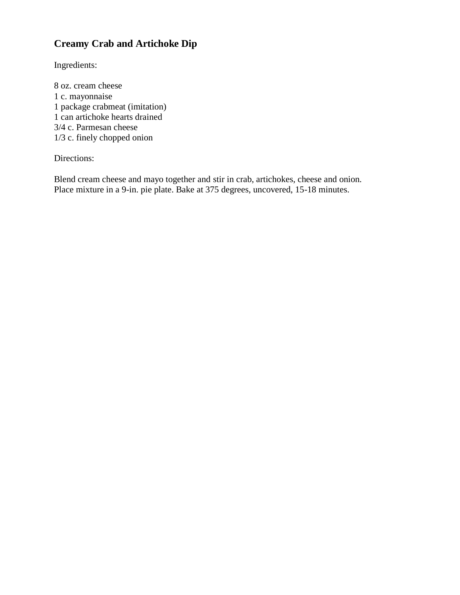# **Creamy Crab and Artichoke Dip**

Ingredients:

8 oz. cream cheese 1 c. mayonnaise 1 package crabmeat (imitation) 1 can artichoke hearts drained 3/4 c. Parmesan cheese 1/3 c. finely chopped onion

Directions:

Blend cream cheese and mayo together and stir in crab, artichokes, cheese and onion. Place mixture in a 9-in. pie plate. Bake at 375 degrees, uncovered, 15-18 minutes.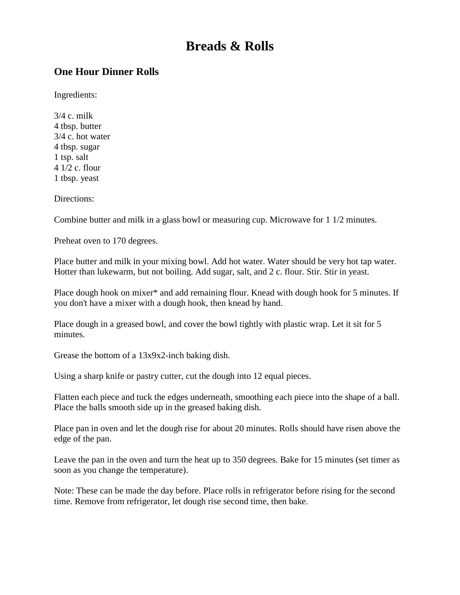# **Breads & Rolls**

#### <span id="page-9-0"></span>**One Hour Dinner Rolls**

Ingredients:

3/4 c. milk 4 tbsp. butter 3/4 c. hot water 4 tbsp. sugar 1 tsp. salt 4 1/2 c. flour 1 tbsp. yeast

Directions:

Combine butter and milk in a glass bowl or measuring cup. Microwave for 1 1/2 minutes.

Preheat oven to 170 degrees.

Place butter and milk in your mixing bowl. Add hot water. Water should be very hot tap water. Hotter than lukewarm, but not boiling. Add sugar, salt, and 2 c. flour. Stir. Stir in yeast.

Place dough hook on mixer\* and add remaining flour. Knead with dough hook for 5 minutes. If you don't have a mixer with a dough hook, then knead by hand.

Place dough in a greased bowl, and cover the bowl tightly with plastic wrap. Let it sit for 5 minutes.

Grease the bottom of a 13x9x2-inch baking dish.

Using a sharp knife or pastry cutter, cut the dough into 12 equal pieces.

Flatten each piece and tuck the edges underneath, smoothing each piece into the shape of a ball. Place the balls smooth side up in the greased baking dish.

Place pan in oven and let the dough rise for about 20 minutes. Rolls should have risen above the edge of the pan.

Leave the pan in the oven and turn the heat up to 350 degrees. Bake for 15 minutes (set timer as soon as you change the temperature).

Note: These can be made the day before. Place rolls in refrigerator before rising for the second time. Remove from refrigerator, let dough rise second time, then bake.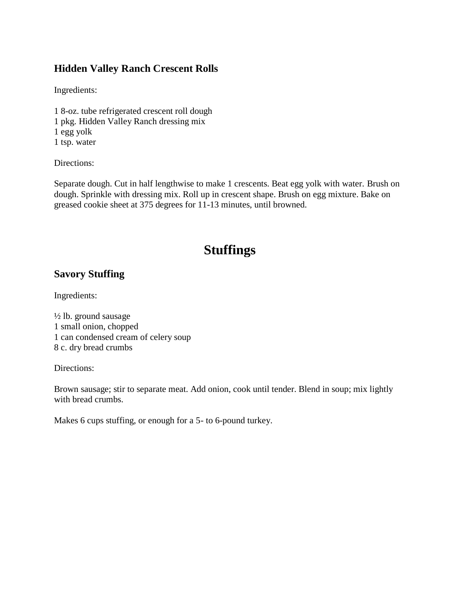#### <span id="page-10-0"></span>**Hidden Valley Ranch Crescent Rolls**

Ingredients:

1 8-oz. tube refrigerated crescent roll dough 1 pkg. Hidden Valley Ranch dressing mix 1 egg yolk 1 tsp. water

Directions:

Separate dough. Cut in half lengthwise to make 1 crescents. Beat egg yolk with water. Brush on dough. Sprinkle with dressing mix. Roll up in crescent shape. Brush on egg mixture. Bake on greased cookie sheet at 375 degrees for 11-13 minutes, until browned.

# **Stuffings**

#### <span id="page-10-1"></span>**Savory Stuffing**

Ingredients:

½ lb. ground sausage 1 small onion, chopped 1 can condensed cream of celery soup 8 c. dry bread crumbs

Directions:

Brown sausage; stir to separate meat. Add onion, cook until tender. Blend in soup; mix lightly with bread crumbs.

<span id="page-10-2"></span>Makes 6 cups stuffing, or enough for a 5- to 6-pound turkey.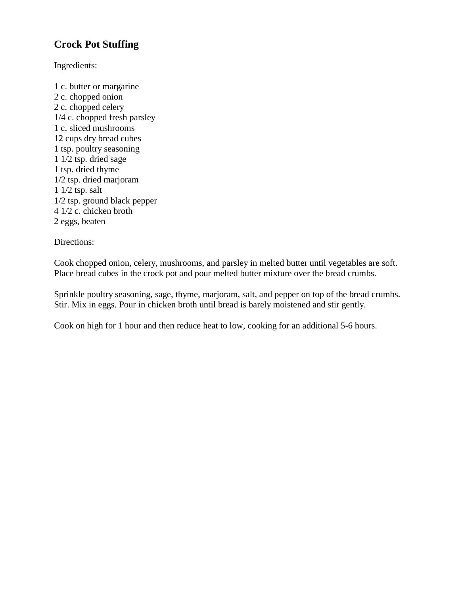# **Crock Pot Stuffing**

Ingredients:

1 c. butter or margarine 2 c. chopped onion 2 c. chopped celery 1/4 c. chopped fresh parsley 1 c. sliced mushrooms 12 cups dry bread cubes 1 tsp. poultry seasoning 1 1/2 tsp. dried sage 1 tsp. dried thyme 1/2 tsp. dried marjoram 1 1/2 tsp. salt 1/2 tsp. ground black pepper 4 1/2 c. chicken broth 2 eggs, beaten

Directions:

Cook chopped onion, celery, mushrooms, and parsley in melted butter until vegetables are soft. Place bread cubes in the crock pot and pour melted butter mixture over the bread crumbs.

Sprinkle poultry seasoning, sage, thyme, marjoram, salt, and pepper on top of the bread crumbs. Stir. Mix in eggs. Pour in chicken broth until bread is barely moistened and stir gently.

<span id="page-11-0"></span>Cook on high for 1 hour and then reduce heat to low, cooking for an additional 5-6 hours.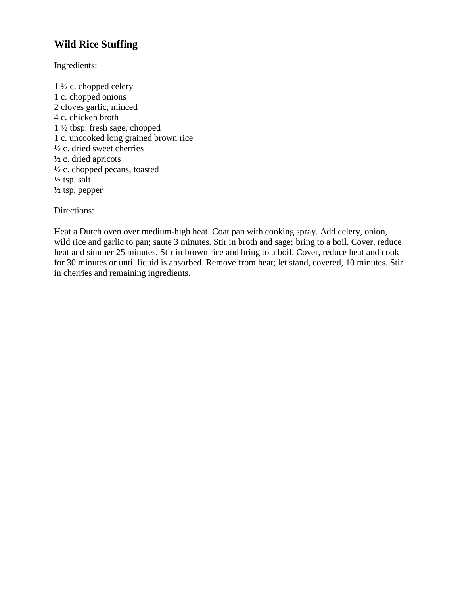# **Wild Rice Stuffing**

Ingredients:

1 ½ c. chopped celery 1 c. chopped onions 2 cloves garlic, minced 4 c. chicken broth 1 ½ tbsp. fresh sage, chopped 1 c. uncooked long grained brown rice ½ c. dried sweet cherries ½ c. dried apricots ½ c. chopped pecans, toasted  $\frac{1}{2}$  tsp. salt  $\frac{1}{2}$  tsp. pepper

Directions:

<span id="page-12-0"></span>Heat a Dutch oven over medium-high heat. Coat pan with cooking spray. Add celery, onion, wild rice and garlic to pan; saute 3 minutes. Stir in broth and sage; bring to a boil. Cover, reduce heat and simmer 25 minutes. Stir in brown rice and bring to a boil. Cover, reduce heat and cook for 30 minutes or until liquid is absorbed. Remove from heat; let stand, covered, 10 minutes. Stir in cherries and remaining ingredients.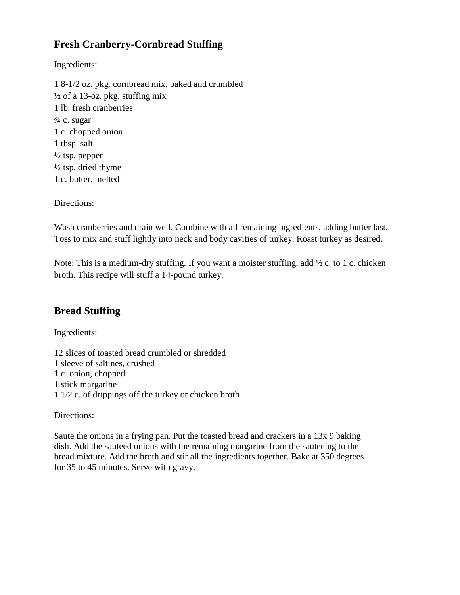# **Fresh Cranberry-Cornbread Stuffing**

Ingredients:

1 8-1/2 oz. pkg. cornbread mix, baked and crumbled  $\frac{1}{2}$  of a 13-oz. pkg. stuffing mix 1 lb. fresh cranberries ¾ c. sugar 1 c. chopped onion 1 tbsp. salt  $\frac{1}{2}$  tsp. pepper  $\frac{1}{2}$  tsp. dried thyme 1 c. butter, melted

Directions:

Wash cranberries and drain well. Combine with all remaining ingredients, adding butter last. Toss to mix and stuff lightly into neck and body cavities of turkey. Roast turkey as desired.

Note: This is a medium-dry stuffing. If you want a moister stuffing, add ½ c. to 1 c. chicken broth. This recipe will stuff a 14-pound turkey.

#### <span id="page-13-0"></span>**Bread Stuffing**

Ingredients:

12 slices of toasted bread crumbled or shredded 1 sleeve of saltines, crushed 1 c. onion, chopped 1 stick margarine 1 1/2 c. of drippings off the turkey or chicken broth

Directions:

Saute the onions in a frying pan. Put the toasted bread and crackers in a 13x 9 baking dish. Add the sauteed onions with the remaining margarine from the sauteeing to the bread mixture. Add the broth and stir all the ingredients together. Bake at 350 degrees for 35 to 45 minutes. Serve with gravy.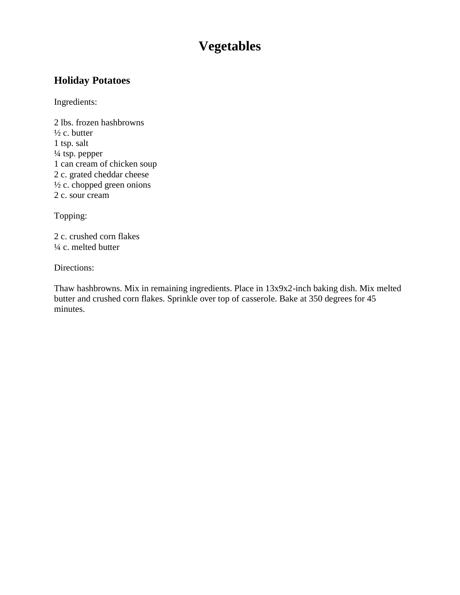# **Vegetables**

## <span id="page-14-0"></span>**Holiday Potatoes**

Ingredients:

2 lbs. frozen hashbrowns  $\frac{1}{2}$  c. butter 1 tsp. salt ¼ tsp. pepper 1 can cream of chicken soup 2 c. grated cheddar cheese  $\frac{1}{2}$  c. chopped green onions 2 c. sour cream

Topping:

2 c. crushed corn flakes ¼ c. melted butter

Directions:

<span id="page-14-1"></span>Thaw hashbrowns. Mix in remaining ingredients. Place in 13x9x2-inch baking dish. Mix melted butter and crushed corn flakes. Sprinkle over top of casserole. Bake at 350 degrees for 45 minutes.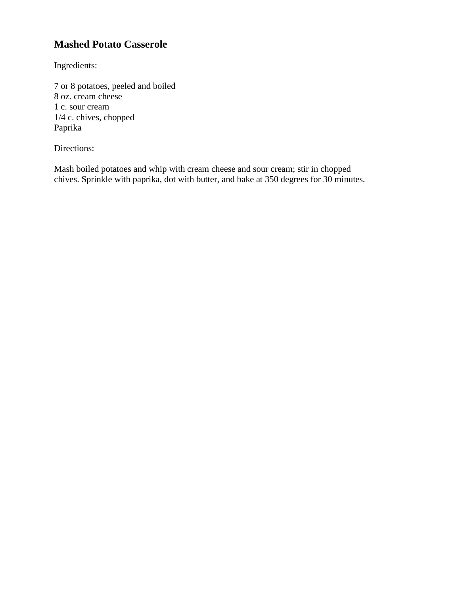# **Mashed Potato Casserole**

Ingredients:

7 or 8 potatoes, peeled and boiled 8 oz. cream cheese 1 c. sour cream 1/4 c. chives, chopped Paprika

Directions:

<span id="page-15-0"></span>Mash boiled potatoes and whip with cream cheese and sour cream; stir in chopped chives. Sprinkle with paprika, dot with butter, and bake at 350 degrees for 30 minutes.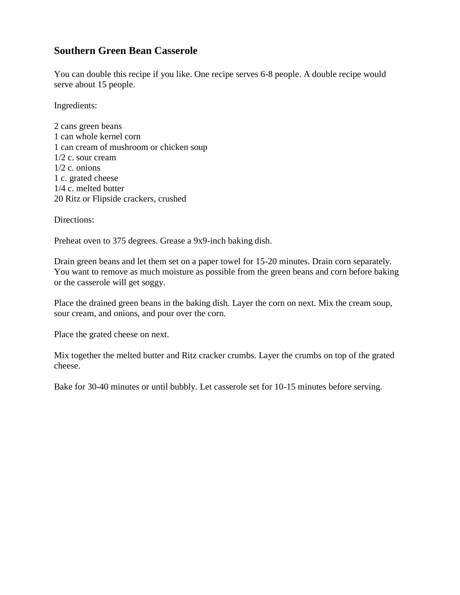#### **Southern Green Bean Casserole**

You can double this recipe if you like. One recipe serves 6-8 people. A double recipe would serve about 15 people.

Ingredients:

2 cans green beans 1 can whole kernel corn 1 can cream of mushroom or chicken soup 1/2 c. sour cream 1/2 c. onions 1 c. grated cheese 1/4 c. melted butter 20 Ritz or Flipside crackers, crushed

Directions:

Preheat oven to 375 degrees. Grease a 9x9-inch baking dish.

Drain green beans and let them set on a paper towel for 15-20 minutes. Drain corn separately. You want to remove as much moisture as possible from the green beans and corn before baking or the casserole will get soggy.

Place the drained green beans in the baking dish. Layer the corn on next. Mix the cream soup, sour cream, and onions, and pour over the corn.

Place the grated cheese on next.

Mix together the melted butter and Ritz cracker crumbs. Layer the crumbs on top of the grated cheese.

<span id="page-16-0"></span>Bake for 30-40 minutes or until bubbly. Let casserole set for 10-15 minutes before serving.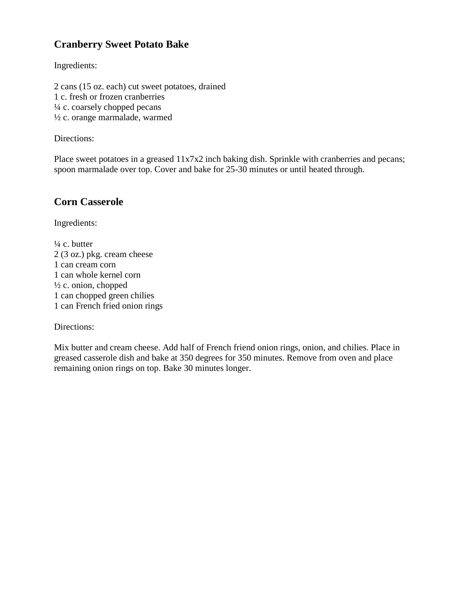# **Cranberry Sweet Potato Bake**

Ingredients:

2 cans (15 oz. each) cut sweet potatoes, drained 1 c. fresh or frozen cranberries ¼ c. coarsely chopped pecans ½ c. orange marmalade, warmed

Directions:

Place sweet potatoes in a greased  $11x7x2$  inch baking dish. Sprinkle with cranberries and pecans; spoon marmalade over top. Cover and bake for 25-30 minutes or until heated through.

## <span id="page-17-0"></span>**Corn Casserole**

Ingredients:

 $\frac{1}{4}$  c. butter 2 (3 oz.) pkg. cream cheese 1 can cream corn 1 can whole kernel corn  $\frac{1}{2}$  c. onion, chopped 1 can chopped green chilies 1 can French fried onion rings

Directions:

<span id="page-17-1"></span>Mix butter and cream cheese. Add half of French friend onion rings, onion, and chilies. Place in greased casserole dish and bake at 350 degrees for 350 minutes. Remove from oven and place remaining onion rings on top. Bake 30 minutes longer.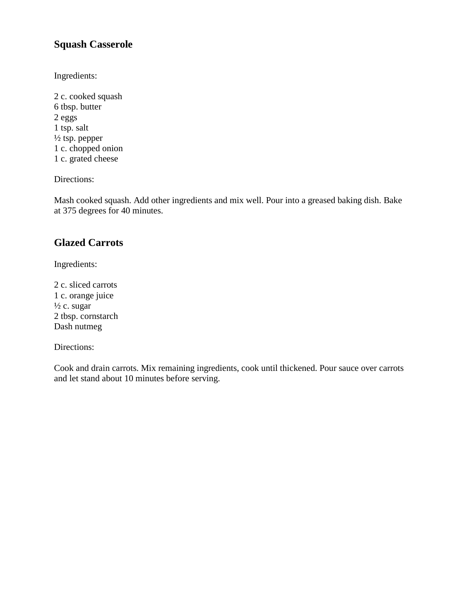#### **Squash Casserole**

Ingredients:

2 c. cooked squash 6 tbsp. butter 2 eggs 1 tsp. salt  $\frac{1}{2}$  tsp. pepper 1 c. chopped onion 1 c. grated cheese

Directions:

Mash cooked squash. Add other ingredients and mix well. Pour into a greased baking dish. Bake at 375 degrees for 40 minutes.

## <span id="page-18-0"></span>**Glazed Carrots**

Ingredients:

2 c. sliced carrots 1 c. orange juice  $\frac{1}{2}$  c. sugar 2 tbsp. cornstarch Dash nutmeg

#### Directions:

<span id="page-18-1"></span>Cook and drain carrots. Mix remaining ingredients, cook until thickened. Pour sauce over carrots and let stand about 10 minutes before serving.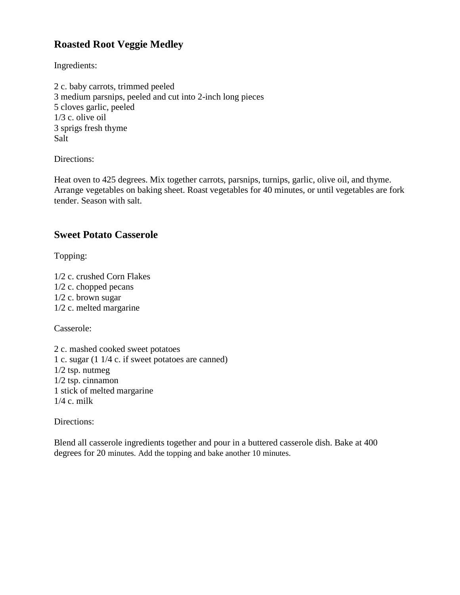# **Roasted Root Veggie Medley**

Ingredients:

2 c. baby carrots, trimmed peeled 3 medium parsnips, peeled and cut into 2-inch long pieces 5 cloves garlic, peeled 1/3 c. olive oil 3 sprigs fresh thyme Salt

Directions:

Heat oven to 425 degrees. Mix together carrots, parsnips, turnips, garlic, olive oil, and thyme. Arrange vegetables on baking sheet. Roast vegetables for 40 minutes, or until vegetables are fork tender. Season with salt.

#### <span id="page-19-0"></span>**Sweet Potato Casserole**

Topping:

1/2 c. crushed Corn Flakes 1/2 c. chopped pecans 1/2 c. brown sugar 1/2 c. melted margarine

Casserole:

2 c. mashed cooked sweet potatoes 1 c. sugar (1 1/4 c. if sweet potatoes are canned) 1/2 tsp. nutmeg 1/2 tsp. cinnamon 1 stick of melted margarine 1/4 c. milk

Directions:

<span id="page-19-1"></span>Blend all casserole ingredients together and pour in a buttered casserole dish. Bake at 400 degrees for 20 minutes. Add the topping and bake another 10 minutes.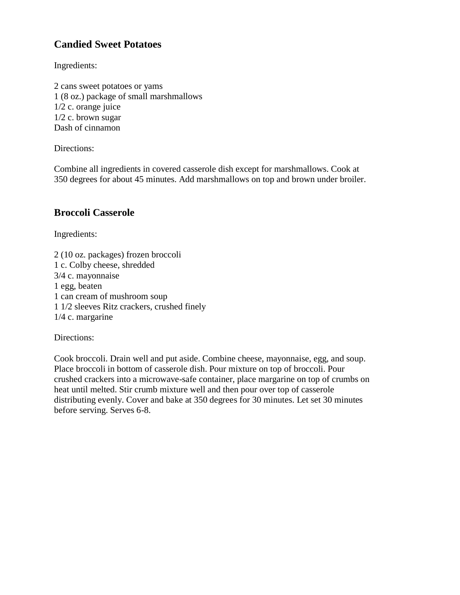# **Candied Sweet Potatoes**

Ingredients:

2 cans sweet potatoes or yams 1 (8 oz.) package of small marshmallows 1/2 c. orange juice 1/2 c. brown sugar Dash of cinnamon

Directions:

Combine all ingredients in covered casserole dish except for marshmallows. Cook at 350 degrees for about 45 minutes. Add marshmallows on top and brown under broiler.

#### <span id="page-20-0"></span>**Broccoli Casserole**

Ingredients:

2 (10 oz. packages) frozen broccoli 1 c. Colby cheese, shredded 3/4 c. mayonnaise 1 egg, beaten 1 can cream of mushroom soup 1 1/2 sleeves Ritz crackers, crushed finely 1/4 c. margarine

Directions:

Cook broccoli. Drain well and put aside. Combine cheese, mayonnaise, egg, and soup. Place broccoli in bottom of casserole dish. Pour mixture on top of broccoli. Pour crushed crackers into a microwave-safe container, place margarine on top of crumbs on heat until melted. Stir crumb mixture well and then pour over top of casserole distributing evenly. Cover and bake at 350 degrees for 30 minutes. Let set 30 minutes before serving. Serves 6-8.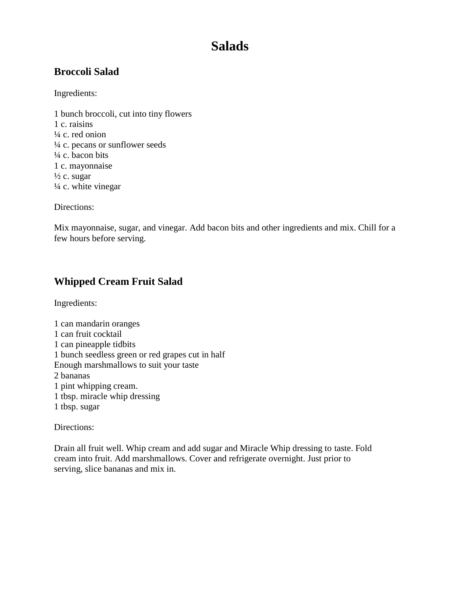# **Salads**

## <span id="page-21-0"></span>**Broccoli Salad**

Ingredients:

1 bunch broccoli, cut into tiny flowers 1 c. raisins  $\frac{1}{4}$  c. red onion ¼ c. pecans or sunflower seeds ¼ c. bacon bits 1 c. mayonnaise  $\frac{1}{2}$  c. sugar  $\frac{1}{4}$  c. white vinegar

Directions:

Mix mayonnaise, sugar, and vinegar. Add bacon bits and other ingredients and mix. Chill for a few hours before serving.

# <span id="page-21-1"></span>**Whipped Cream Fruit Salad**

Ingredients:

1 can mandarin oranges 1 can fruit cocktail 1 can pineapple tidbits 1 bunch seedless green or red grapes cut in half Enough marshmallows to suit your taste 2 bananas 1 pint whipping cream. 1 tbsp. miracle whip dressing 1 tbsp. sugar

Directions:

<span id="page-21-2"></span>Drain all fruit well. Whip cream and add sugar and Miracle Whip dressing to taste. Fold cream into fruit. Add marshmallows. Cover and refrigerate overnight. Just prior to serving, slice bananas and mix in.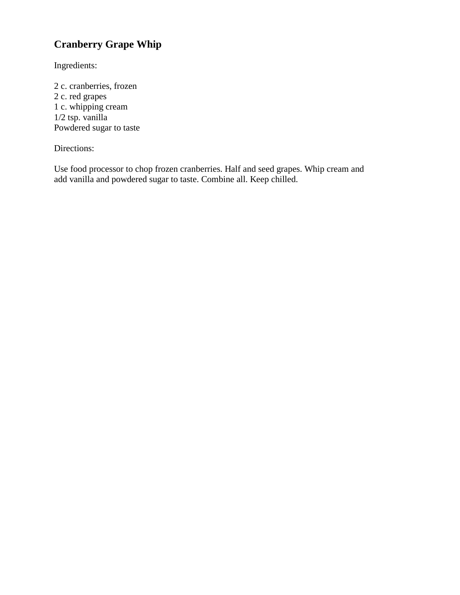# **Cranberry Grape Whip**

Ingredients:

2 c. cranberries, frozen 2 c. red grapes 1 c. whipping cream  $1/2$  tsp. vanilla Powdered sugar to taste

#### Directions:

<span id="page-22-0"></span>Use food processor to chop frozen cranberries. Half and seed grapes. Whip cream and add vanilla and powdered sugar to taste. Combine all. Keep chilled.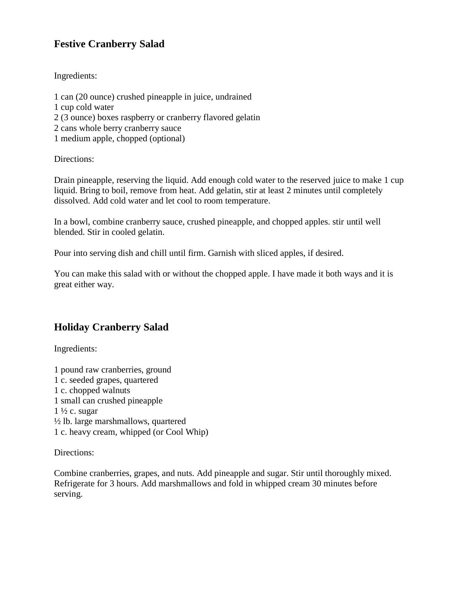## **Festive Cranberry Salad**

Ingredients:

1 can (20 ounce) crushed pineapple in juice, undrained 1 cup cold water 2 (3 ounce) boxes raspberry or cranberry flavored gelatin 2 cans whole berry cranberry sauce 1 medium apple, chopped (optional)

Directions:

Drain pineapple, reserving the liquid. Add enough cold water to the reserved juice to make 1 cup liquid. Bring to boil, remove from heat. Add gelatin, stir at least 2 minutes until completely dissolved. Add cold water and let cool to room temperature.

In a bowl, combine cranberry sauce, crushed pineapple, and chopped apples. stir until well blended. Stir in cooled gelatin.

Pour into serving dish and chill until firm. Garnish with sliced apples, if desired.

You can make this salad with or without the chopped apple. I have made it both ways and it is great either way.

# <span id="page-23-0"></span>**Holiday Cranberry Salad**

Ingredients:

1 pound raw cranberries, ground 1 c. seeded grapes, quartered 1 c. chopped walnuts 1 small can crushed pineapple  $1\frac{1}{2}$  c. sugar ½ lb. large marshmallows, quartered 1 c. heavy cream, whipped (or Cool Whip)

Directions:

<span id="page-23-1"></span>Combine cranberries, grapes, and nuts. Add pineapple and sugar. Stir until thoroughly mixed. Refrigerate for 3 hours. Add marshmallows and fold in whipped cream 30 minutes before serving.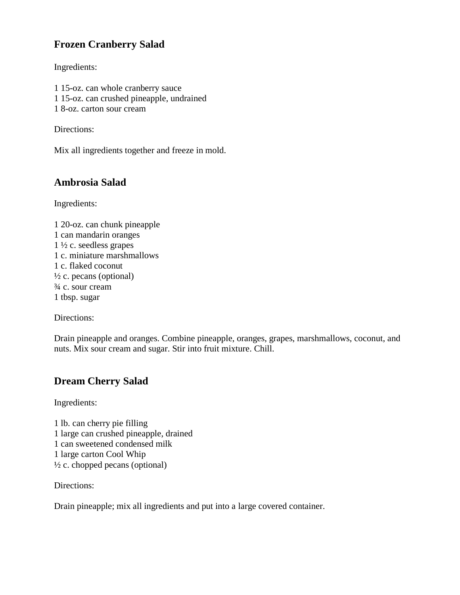# **Frozen Cranberry Salad**

Ingredients:

- 1 15-oz. can whole cranberry sauce 1 15-oz. can crushed pineapple, undrained
- 1 8-oz. carton sour cream

Directions:

Mix all ingredients together and freeze in mold.

## <span id="page-24-0"></span>**Ambrosia Salad**

Ingredients:

1 20-oz. can chunk pineapple 1 can mandarin oranges  $1\frac{1}{2}$  c. seedless grapes 1 c. miniature marshmallows 1 c. flaked coconut  $\frac{1}{2}$  c. pecans (optional) ¾ c. sour cream 1 tbsp. sugar

Directions:

Drain pineapple and oranges. Combine pineapple, oranges, grapes, marshmallows, coconut, and nuts. Mix sour cream and sugar. Stir into fruit mixture. Chill.

# <span id="page-24-1"></span>**Dream Cherry Salad**

Ingredients:

1 lb. can cherry pie filling 1 large can crushed pineapple, drained 1 can sweetened condensed milk 1 large carton Cool Whip  $\frac{1}{2}$  c. chopped pecans (optional)

Directions:

<span id="page-24-2"></span>Drain pineapple; mix all ingredients and put into a large covered container.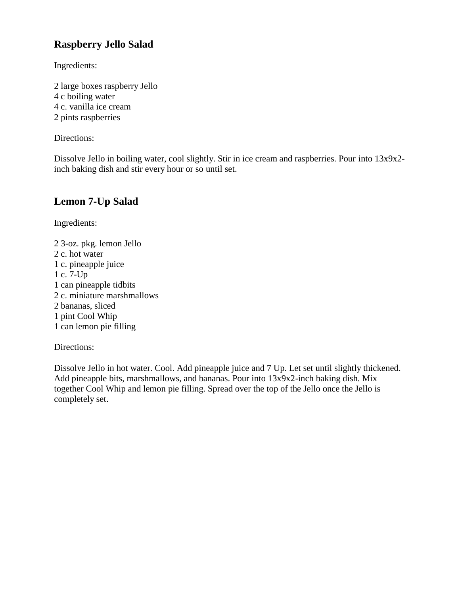# **Raspberry Jello Salad**

Ingredients:

2 large boxes raspberry Jello 4 c boiling water 4 c. vanilla ice cream 2 pints raspberries

Directions:

Dissolve Jello in boiling water, cool slightly. Stir in ice cream and raspberries. Pour into 13x9x2 inch baking dish and stir every hour or so until set.

## <span id="page-25-0"></span>**Lemon 7-Up Salad**

Ingredients:

2 3-oz. pkg. lemon Jello 2 c. hot water 1 c. pineapple juice 1 c. 7-Up 1 can pineapple tidbits 2 c. miniature marshmallows 2 bananas, sliced 1 pint Cool Whip 1 can lemon pie filling

#### Directions:

<span id="page-25-1"></span>Dissolve Jello in hot water. Cool. Add pineapple juice and 7 Up. Let set until slightly thickened. Add pineapple bits, marshmallows, and bananas. Pour into 13x9x2-inch baking dish. Mix together Cool Whip and lemon pie filling. Spread over the top of the Jello once the Jello is completely set.